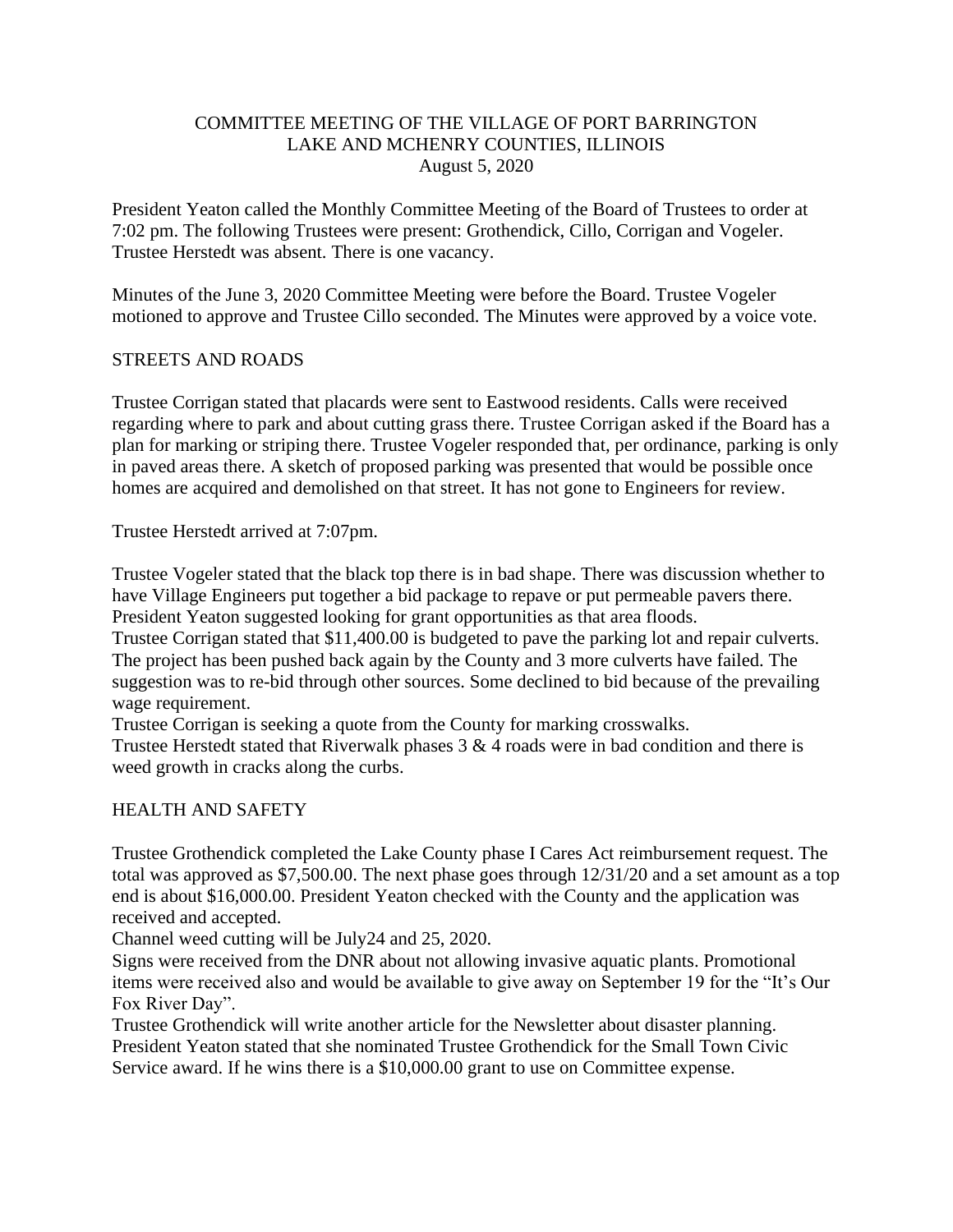# COMMITTEE MEETING OF THE VILLAGE OF PORT BARRINGTON LAKE AND MCHENRY COUNTIES, ILLINOIS August 5, 2020

President Yeaton called the Monthly Committee Meeting of the Board of Trustees to order at 7:02 pm. The following Trustees were present: Grothendick, Cillo, Corrigan and Vogeler. Trustee Herstedt was absent. There is one vacancy.

Minutes of the June 3, 2020 Committee Meeting were before the Board. Trustee Vogeler motioned to approve and Trustee Cillo seconded. The Minutes were approved by a voice vote.

# STREETS AND ROADS

Trustee Corrigan stated that placards were sent to Eastwood residents. Calls were received regarding where to park and about cutting grass there. Trustee Corrigan asked if the Board has a plan for marking or striping there. Trustee Vogeler responded that, per ordinance, parking is only in paved areas there. A sketch of proposed parking was presented that would be possible once homes are acquired and demolished on that street. It has not gone to Engineers for review.

Trustee Herstedt arrived at 7:07pm.

Trustee Vogeler stated that the black top there is in bad shape. There was discussion whether to have Village Engineers put together a bid package to repave or put permeable pavers there. President Yeaton suggested looking for grant opportunities as that area floods.

Trustee Corrigan stated that \$11,400.00 is budgeted to pave the parking lot and repair culverts. The project has been pushed back again by the County and 3 more culverts have failed. The suggestion was to re-bid through other sources. Some declined to bid because of the prevailing wage requirement.

Trustee Corrigan is seeking a quote from the County for marking crosswalks.

Trustee Herstedt stated that Riverwalk phases 3 & 4 roads were in bad condition and there is weed growth in cracks along the curbs.

## HEALTH AND SAFETY

Trustee Grothendick completed the Lake County phase I Cares Act reimbursement request. The total was approved as \$7,500.00. The next phase goes through 12/31/20 and a set amount as a top end is about \$16,000.00. President Yeaton checked with the County and the application was received and accepted.

Channel weed cutting will be July24 and 25, 2020.

Signs were received from the DNR about not allowing invasive aquatic plants. Promotional items were received also and would be available to give away on September 19 for the "It's Our Fox River Day".

Trustee Grothendick will write another article for the Newsletter about disaster planning. President Yeaton stated that she nominated Trustee Grothendick for the Small Town Civic Service award. If he wins there is a \$10,000.00 grant to use on Committee expense.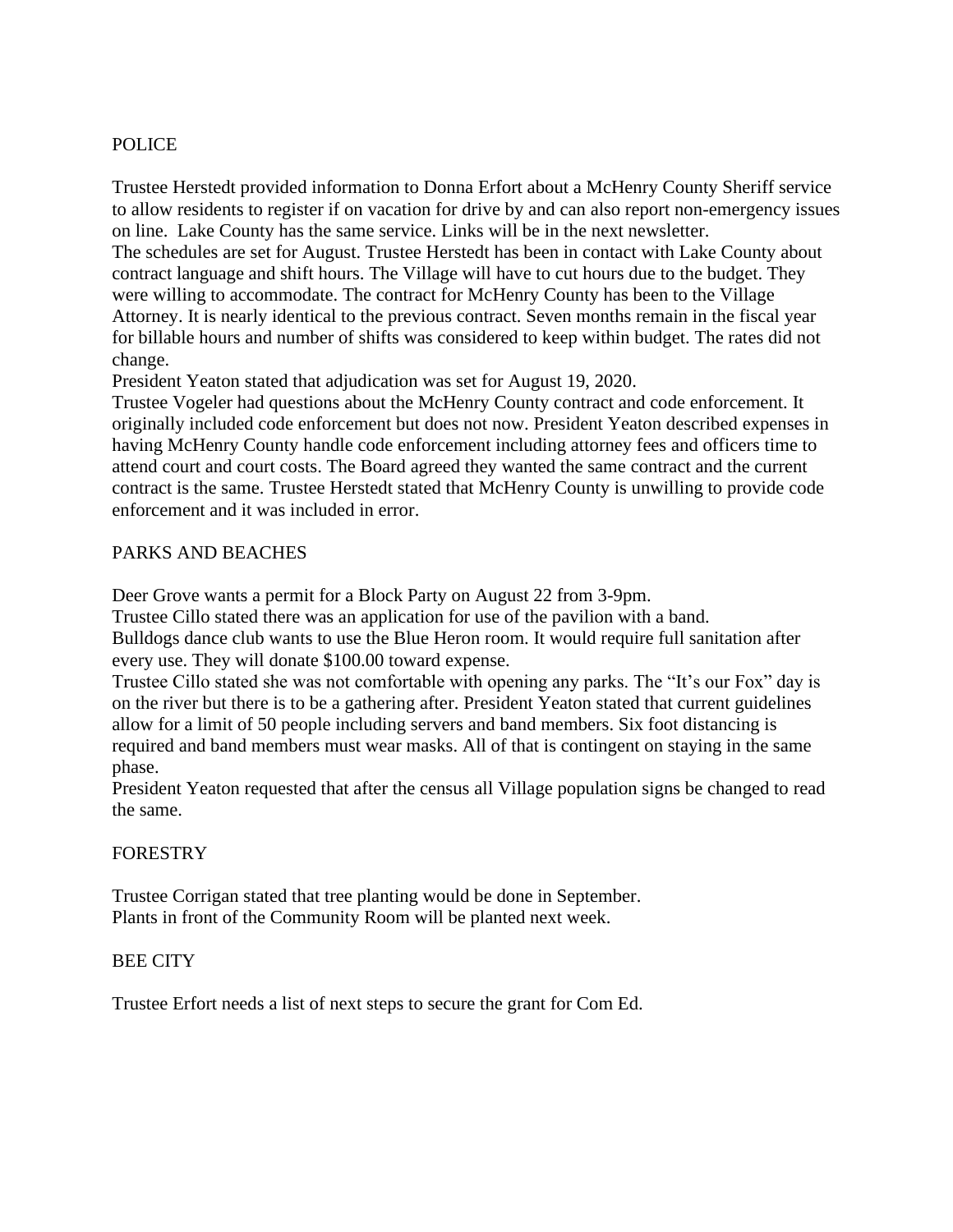# POLICE

Trustee Herstedt provided information to Donna Erfort about a McHenry County Sheriff service to allow residents to register if on vacation for drive by and can also report non-emergency issues on line. Lake County has the same service. Links will be in the next newsletter.

The schedules are set for August. Trustee Herstedt has been in contact with Lake County about contract language and shift hours. The Village will have to cut hours due to the budget. They were willing to accommodate. The contract for McHenry County has been to the Village Attorney. It is nearly identical to the previous contract. Seven months remain in the fiscal year for billable hours and number of shifts was considered to keep within budget. The rates did not change.

President Yeaton stated that adjudication was set for August 19, 2020.

Trustee Vogeler had questions about the McHenry County contract and code enforcement. It originally included code enforcement but does not now. President Yeaton described expenses in having McHenry County handle code enforcement including attorney fees and officers time to attend court and court costs. The Board agreed they wanted the same contract and the current contract is the same. Trustee Herstedt stated that McHenry County is unwilling to provide code enforcement and it was included in error.

# PARKS AND BEACHES

Deer Grove wants a permit for a Block Party on August 22 from 3-9pm.

Trustee Cillo stated there was an application for use of the pavilion with a band.

Bulldogs dance club wants to use the Blue Heron room. It would require full sanitation after every use. They will donate \$100.00 toward expense.

Trustee Cillo stated she was not comfortable with opening any parks. The "It's our Fox" day is on the river but there is to be a gathering after. President Yeaton stated that current guidelines allow for a limit of 50 people including servers and band members. Six foot distancing is required and band members must wear masks. All of that is contingent on staying in the same phase.

President Yeaton requested that after the census all Village population signs be changed to read the same.

## FORESTRY

Trustee Corrigan stated that tree planting would be done in September. Plants in front of the Community Room will be planted next week.

## BEE CITY

Trustee Erfort needs a list of next steps to secure the grant for Com Ed.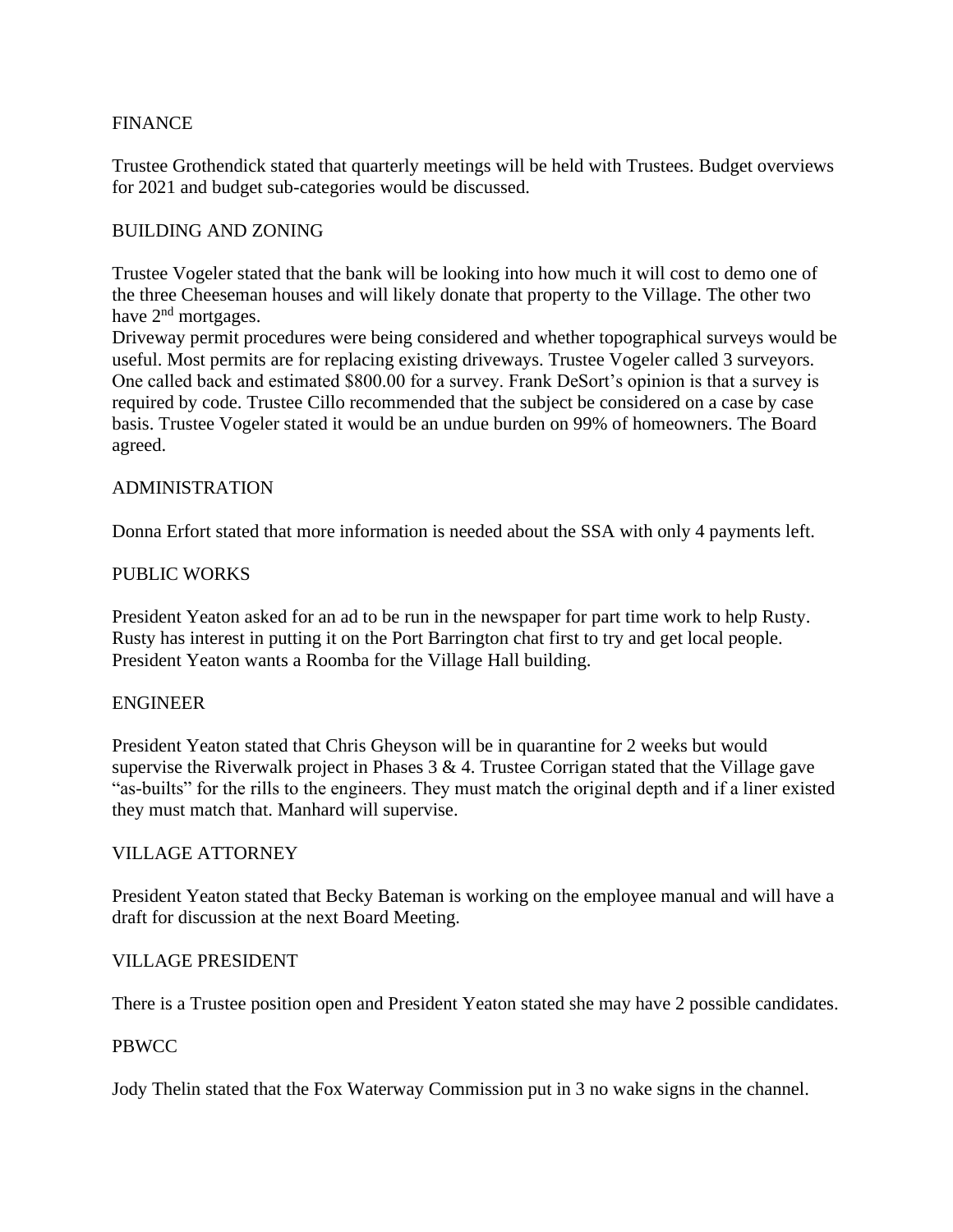# FINANCE

Trustee Grothendick stated that quarterly meetings will be held with Trustees. Budget overviews for 2021 and budget sub-categories would be discussed.

## BUILDING AND ZONING

Trustee Vogeler stated that the bank will be looking into how much it will cost to demo one of the three Cheeseman houses and will likely donate that property to the Village. The other two have 2<sup>nd</sup> mortgages.

Driveway permit procedures were being considered and whether topographical surveys would be useful. Most permits are for replacing existing driveways. Trustee Vogeler called 3 surveyors. One called back and estimated \$800.00 for a survey. Frank DeSort's opinion is that a survey is required by code. Trustee Cillo recommended that the subject be considered on a case by case basis. Trustee Vogeler stated it would be an undue burden on 99% of homeowners. The Board agreed.

## ADMINISTRATION

Donna Erfort stated that more information is needed about the SSA with only 4 payments left.

## PUBLIC WORKS

President Yeaton asked for an ad to be run in the newspaper for part time work to help Rusty. Rusty has interest in putting it on the Port Barrington chat first to try and get local people. President Yeaton wants a Roomba for the Village Hall building.

## ENGINEER

President Yeaton stated that Chris Gheyson will be in quarantine for 2 weeks but would supervise the Riverwalk project in Phases  $3 \& 4$ . Trustee Corrigan stated that the Village gave "as-builts" for the rills to the engineers. They must match the original depth and if a liner existed they must match that. Manhard will supervise.

## VILLAGE ATTORNEY

President Yeaton stated that Becky Bateman is working on the employee manual and will have a draft for discussion at the next Board Meeting.

#### VILLAGE PRESIDENT

There is a Trustee position open and President Yeaton stated she may have 2 possible candidates.

## PBWCC

Jody Thelin stated that the Fox Waterway Commission put in 3 no wake signs in the channel.